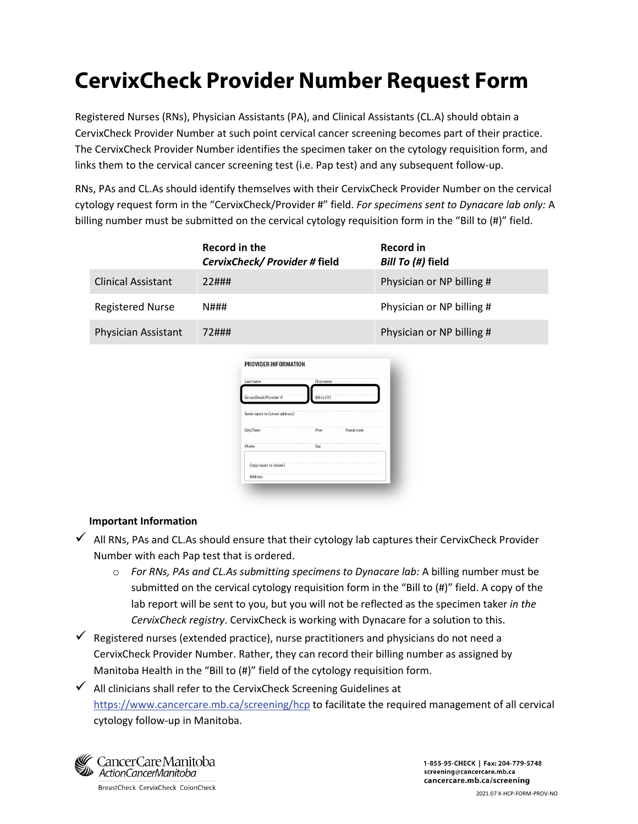## **CervixCheck Provider Number Request Form**

Registered Nurses (RNs), Physician Assistants (PA), and Clinical Assistants (CL.A) should obtain a CervixCheck Provider Number at such point cervical cancer screening becomes part of their practice. The CervixCheck Provider Number identifies the specimen taker on the cytology requisition form, and links them to the cervical cancer screening test (i.e. Pap test) and any subsequent follow-up.

RNs, PAs and CL.As should identify themselves with their CervixCheck Provider Number on the cervical cytology request form in the "CervixCheck/Provider #" field. *For specimens sent to Dynacare lab only:* A billing number must be submitted on the cervical cytology requisition form in the "Bill to (#)" field.

|                           | Record in the<br>CervixCheck/Provider#field | Record in<br>Bill To (#) field |
|---------------------------|---------------------------------------------|--------------------------------|
| <b>Clinical Assistant</b> | 22###                                       | Physician or NP billing #      |
| <b>Registered Nurse</b>   | N###                                        | Physician or NP billing #      |
| Physician Assistant       | 72###                                       | Physician or NP billing #      |
|                           |                                             |                                |

| Last name                       | First name        |             |
|---------------------------------|-------------------|-------------|
| CervixCheck/Provider #          | Bill to $($ # $)$ |             |
| Send report to (street address) |                   |             |
| City/Town                       | Prov              | Postal code |
| Phone                           | Fax               |             |
| Copy report to (name)           |                   |             |
| Address                         |                   |             |

## **Important Information**

- $\checkmark$  All RNs, PAs and CL.As should ensure that their cytology lab captures their CervixCheck Provider Number with each Pap test that is ordered.
	- o *For RNs, PAs and CL.As submitting specimens to Dynacare lab:* A billing number must be submitted on the cervical cytology requisition form in the "Bill to (#)" field. A copy of the lab report will be sent to you, but you will not be reflected as the specimen taker *in the CervixCheck registry*. CervixCheck is working with Dynacare for a solution to this.
- $\checkmark$  Registered nurses (extended practice), nurse practitioners and physicians do not need a CervixCheck Provider Number. Rather, they can record their billing number as assigned by Manitoba Health in the "Bill to (#)" field of the cytology requisition form.
- $\checkmark$  All clinicians shall refer to the CervixCheck Screening Guidelines at <https://www.cancercare.mb.ca/screening/hcp> to facilitate the required management of all cervical cytology follow-up in Manitoba.